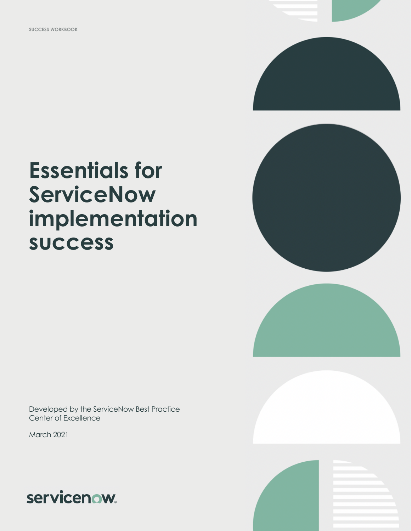

# **Essentials for ServiceNow implementation success**

Developed by the ServiceNow Best Practice Center of Excellence

March 2021



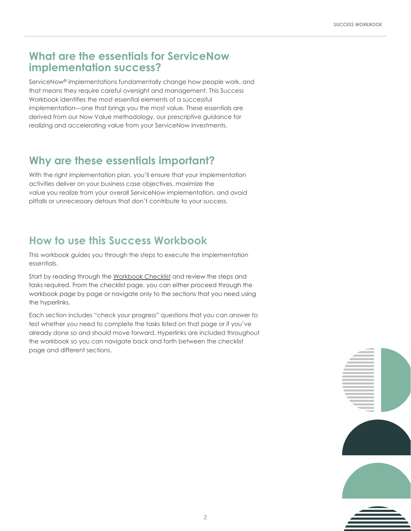### **What are the essentials for ServiceNow implementation success?**

ServiceNow® implementations fundamentally change how people work, and that means they require careful oversight and management. This Success Workbook identifies the most essential elements of a successful implementation—one that brings you the most value. These essentials are derived from our Now Value methodology, our prescriptive guidance for realizing and accelerating value from your ServiceNow investments.

### **Why are these essentials important?**

With the right implementation plan, you'll ensure that your implementation activities deliver on your business case objectives, maximize the value you realize from your overall ServiceNow implementation, and avoid pitfalls or unnecessary detours that don't contribute to your success.

### **How to use this Success Workbook**

This workbook guides you through the steps to execute the implementation essentials.

Start by reading through the [Workbook Checklist](#page-2-0) and review the steps and tasks required. From the checklist page, you can either proceed through the workbook page by page or navigate only to the sections that you need using the hyperlinks.

Each section includes "check your progress" questions that you can answer to test whether you need to complete the tasks listed on that page or if you've already done so and should move forward. Hyperlinks are included throughout the workbook so you can navigate back and forth between the checklist page and different sections.

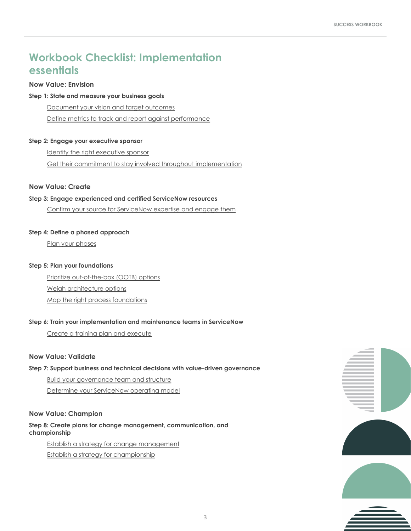### <span id="page-2-0"></span>**Workbook Checklist: Implementation essentials**

#### **Now Value: Envision**

#### **Step 1: State and measure your business goals**

[Document your vision and target outcomes](#page-3-0)

[Define metrics to track and report against performance](#page-4-0)

#### **Step 2: Engage your executive sponsor**

[Identify the right executive sponsor](#page-5-0)

[Get their commitment to stay involved throughout implementation](#page-5-0)

#### **Now Value: Create**

#### **Step 3: Engage experienced and certified ServiceNow resources**

[Confirm your source for ServiceNow expertise and engage them](#page-6-0)

#### **Step 4: Define a phased approach**

[Plan your phases](#page-7-0)

#### **Step 5: Plan your foundations**

 [Prioritize out-of-the-box \(OOTB\) options](#page-8-0) [Weigh architecture options](#page-9-0) [Map the right process foundations](#page-10-0)

#### **Step 6: Train your implementation and maintenance teams in ServiceNow**

[Create a training plan and execute](#page-11-0)

#### **Now Value: Validate**

#### **Step 7: Support business and technical decisions with value-driven governance**

 [Build your governance team and structure](#page-12-0) [Determine your ServiceNow operating model](#page-13-0)

#### **Now Value: Champion**

**Step 8: Create plans for change management, communication, and championship**

 [Establish a strategy for change management](#page-14-0) [Establish a strategy for championship](#page-15-0)

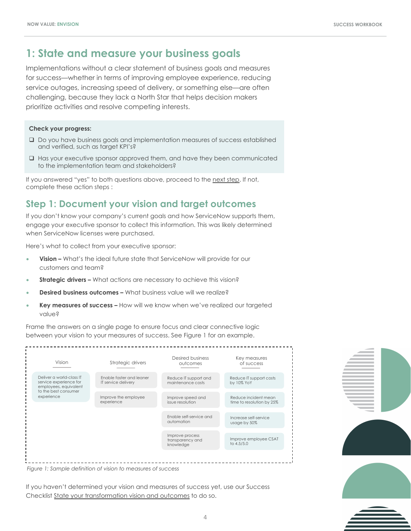### <span id="page-3-0"></span>**1: State and measure your business goals**

Implementations without a clear statement of business goals and measures for success—whether in terms of improving employee experience, reducing service outages, increasing speed of delivery, or something else—are often challenging, because they lack a North Star that helps decision makers prioritize activities and resolve competing interests.

#### **Check your progress:**

- $\square$  Do you have business goals and implementation measures of success established and verified, such as target KPI's?
- $\Box$  Has your executive sponsor approved them, and have they been communicated to the implementation team and stakeholders?

If you answered "yes" to both questions above, proceed to the [next step.](#page-5-0) If not, complete these action steps :

### **Step 1: Document your vision and target outcomes**

If you don't know your company's current goals and how ServiceNow supports them, engage your executive sponsor to collect this information. This was likely determined when ServiceNow licenses were purchased.

Here's what to collect from your executive sponsor:

- **Vision –** What's the ideal future state that ServiceNow will provide for our customers and team?
- **Strategic drivers –** What actions are necessary to achieve this vision?
- **Desired business outcomes –** What business value will we realize?
- **Key measures of success –** How will we know when we've realized our targeted value?

Frame the answers on a single page to ensure focus and clear connective logic between your vision to your measures of success. See Figure 1 for an example.



*Figure 1: Sample definition of vision to measures of success*

If you haven't determined your vision and measures of success yet, use our Success Checklist [State your transformation vision and outcomes](https://www.servicenow.com/content/dam/servicenow-assets/public/en-us/doc-type/success/checklist/transformation-vision-outcomes.pptx) to do so.



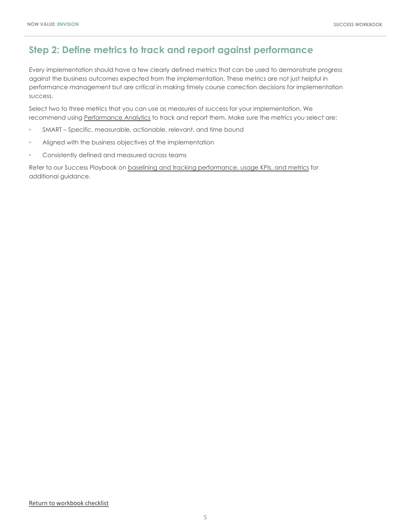### <span id="page-4-0"></span>**Step 2: Define metrics to track and report against performance**

Every implementation should have a few clearly defined metrics that can be used to demonstrate progress against the business outcomes expected from the implementation. These metrics are not just helpful in performance management but are critical in making timely course correction decisions for implementation success.

Select two to three metrics that you can use as measures of success for your implementation. We recommend using [Performance Analytics](https://www.servicenow.com/products/performance-analytics.html) to track and report them. Make sure the metrics you select are:

- SMART Specific, measurable, actionable, relevant, and time bound
- Aligned with the business objectives of the implementation
- Consistently defined and measured across teams

Refer to our Success Playbook on [baselining and tracking performance, usage KPIs, and metrics](https://www.servicenow.com/success/playbook/performance-kpi-metrics-guide.html) for additional guidance.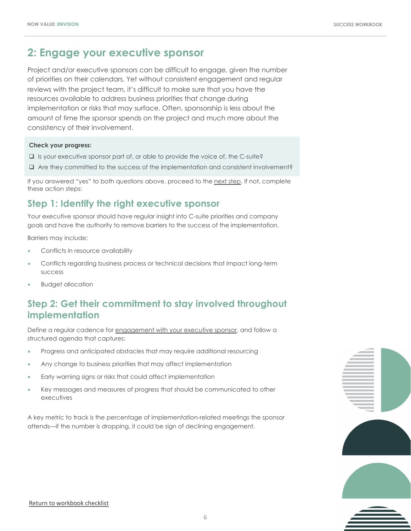### <span id="page-5-0"></span>**2: Engage your executive sponsor**

Project and/or executive sponsors can be difficult to engage, given the number of priorities on their calendars. Yet without consistent engagement and regular reviews with the project team, it's difficult to make sure that you have the resources available to address business priorities that change during implementation or risks that may surface. Often, sponsorship is less about the amount of time the sponsor spends on the project and much more about the consistency of their involvement.

#### **Check your progress:**

- $\square$  Is your executive sponsor part of, or able to provide the voice of, the C-suite?
- $\Box$  Are they committed to the success of the implementation and consistent involvement?

If you answered "yes" to both questions above, proceed to the [next step.](#page-6-0) If not, complete these action steps:

### **Step 1: Identify the right executive sponsor**

Your executive sponsor should have regular insight into C-suite priorities and company goals and have the authority to remove barriers to the success of the implementation.

Barriers may include:

- Conflicts in resource availability
- Conflicts regarding business process or technical decisions that impact long-term success
- Budget allocation

### **Step 2: Get their commitment to stay involved throughout implementation**

Define a regular cadence for [engagement with your executive sponsor,](https://www.servicenow.com/success/playbook/engage-sponsor.html) and follow a structured agenda that captures:

- Progress and anticipated obstacles that may require additional resourcing
- Any change to business priorities that may affect implementation
- Early warning signs or risks that could affect implementation
- Key messages and measures of progress that should be communicated to other executives

A key metric to track is the percentage of implementation-related meetings the sponsor attends—if the number is dropping, it could be sign of declining engagement.

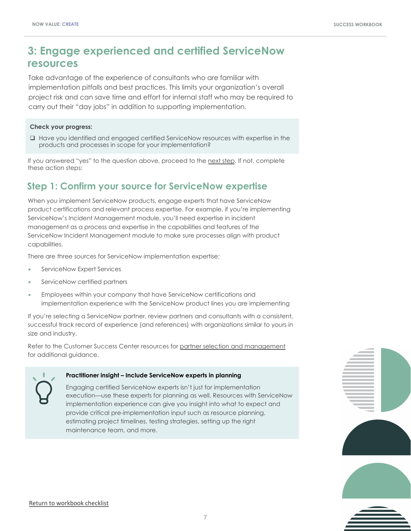### <span id="page-6-0"></span>**3: Engage experienced and certified ServiceNow resources**

Take advantage of the experience of consultants who are familiar with implementation pitfalls and best practices. This limits your organization's overall project risk and can save time and effort for internal staff who may be required to carry out their "day jobs" in addition to supporting implementation.

#### **Check your progress:**

 $\Box$  Have you identified and engaged certified ServiceNow resources with expertise in the products and processes in scope for your implementation?

If you answered "yes" to the question above, proceed to the [next step](#page-7-0). If not, complete these action steps:

### **Step 1: Confirm your source for ServiceNow expertise**

When you implement ServiceNow products, engage experts that have ServiceNow product certifications and relevant process expertise. For example, if you're implementing ServiceNow's Incident Management module, you'll need expertise in incident management as a process and expertise in the capabilities and features of the ServiceNow Incident Management module to make sure processes align with product capabilities.

There are three sources for ServiceNow implementation expertise:

- ServiceNow Expert Services
- ServiceNow certified partners
- Employees within your company that have ServiceNow certifications and implementation experience with the ServiceNow product lines you are implementing

If you're selecting a ServiceNow partner, review partners and consultants with a consistent, successful track record of experience (and references) with organizations similar to yours in size and industry.

Refer to the Customer Success Center resources for [partner selection and management](https://www.servicenow.com/success/playbook/partner-management-guide.html) for additional guidance.



#### **Practitioner insight – Include ServiceNow experts in planning**

Engaging certified ServiceNow experts isn't just for implementation execution—use these experts for planning as well. Resources with ServiceNow implementation experience can give you insight into what to expect and provide critical pre-implementation input such as resource planning, estimating project timelines, testing strategies, setting up the right maintenance team, and more.

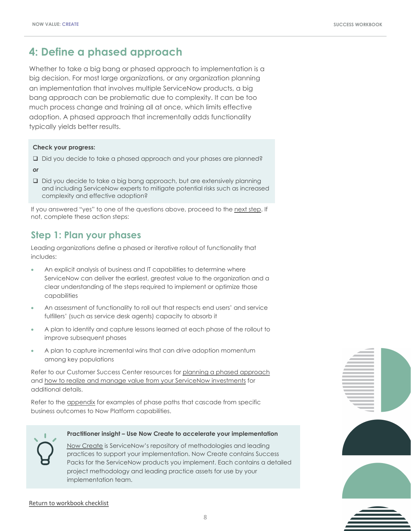### <span id="page-7-0"></span>**4: Define a phased approach**

Whether to take a big bang or phased approach to implementation is a big decision. For most large organizations, or any organization planning an implementation that involves multiple ServiceNow products, a big bang approach can be problematic due to complexity. It can be too much process change and training all at once, which limits effective adoption. A phased approach that incrementally adds functionality typically yields better results.

#### **Check your progress:**

- □ Did you decide to take a phased approach and your phases are planned?
- *or*
- Did you decide to take a big bang approach, but are extensively planning and including ServiceNow experts to mitigate potential risks such as increased complexity and effective adoption?

If you answered "yes" to one of the questions above, proceed to the [next step](#page-12-0). If not, complete these action steps:

### **Step 1: Plan your phases**

Leading organizations define a phased or iterative rollout of functionality that includes:

- An explicit analysis of business and IT capabilities to determine where ServiceNow can deliver the earliest, greatest value to the organization and a clear understanding of the steps required to implement or optimize those capabilities
- An assessment of functionality to roll out that respects end users' and service fulfillers' (such as service desk agents) capacity to absorb it
- A plan to identify and capture lessons learned at each phase of the rollout to improve subsequent phases
- A plan to capture incremental wins that can drive adoption momentum among key populations

Refer to our Customer Success Center resources for [planning a phased approach](https://www.servicenow.com/content/dam/servicenow-assets/public/en-us/doc-type/success/checklist/build-program-plan.pptx) and [how to realize and manage value from your ServiceNow investments](https://www.servicenow.com/success/playbook/value-management-guide.html) for additional details.

Refer to the [appendix](#page-16-0) for examples of phase paths that cascade from specific business outcomes to Now Platform capabilities.



#### **Practitioner insight – Use Now Create to accelerate your implementation**

[Now Create](https://nowlearning.service-now.com/nowcreate) is ServiceNow's repository of methodologies and leading practices to support your implementation. Now Create contains Success Packs for the ServiceNow products you implement. Each contains a detailed project methodology and leading practice assets for use by your implementation team.



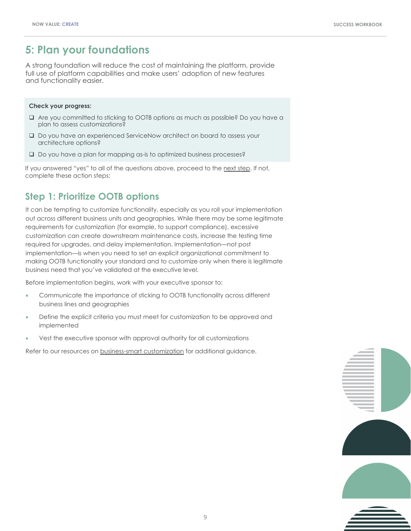### <span id="page-8-0"></span>**5: Plan your foundations**

A strong foundation will reduce the cost of maintaining the platform, provide full use of platform capabilities and make users' adoption of new features and functionality easier.

#### **Check your progress:**

- q Are you committed to sticking to OOTB options as much as possible? Do you have a plan to assess customizations?
- □ Do you have an experienced ServiceNow architect on board to assess your architecture options?
- $\square$  Do you have a plan for mapping as-is to optimized business processes?

If you answered "yes" to all of the questions above, proceed to the [next step.](#page-11-0) If not, complete these action steps:

### **Step 1: Prioritize OOTB options**

It can be tempting to customize functionality, especially as you roll your implementation out across different business units and geographies. While there may be some legitimate requirements for customization (for example, to support compliance), excessive customization can create downstream maintenance costs, increase the testing time required for upgrades, and delay implementation. Implementation—not post implementation—is when you need to set an explicit organizational commitment to making OOTB functionality your standard and to customize only when there is legitimate business need that you've validated at the executive level.

Before implementation begins, work with your executive sponsor to:

- Communicate the importance of sticking to OOTB functionality across different business lines and geographies
- Define the explicit criteria you must meet for customization to be approved and implemented
- Vest the executive sponsor with approval authority for all customizations

Refer to our resources on [business-smart customization](https://www.servicenow.com/success/playbook/innovate-at-scale.html) for additional guidance.

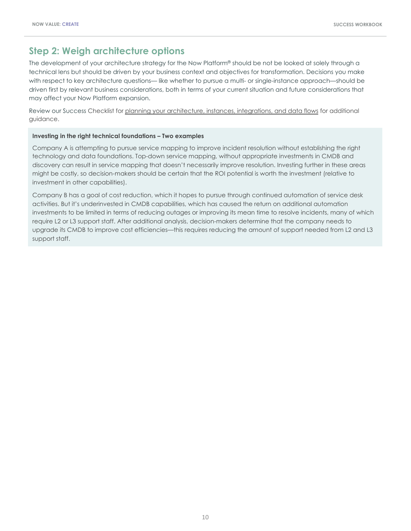### <span id="page-9-0"></span>**Step 2: Weigh architecture options**

The development of your architecture strategy for the Now Platform® should be not be looked at solely through a technical lens but should be driven by your business context and objectives for transformation. Decisions you make with respect to key architecture questions— like whether to pursue a multi- or single-instance approach—should be driven first by relevant business considerations, both in terms of your current situation and future considerations that may affect your Now Platform expansion.

Review our Success Checklist for [planning your architecture, instances, integrations, and data flows](https://www.servicenow.com/content/dam/servicenow-assets/public/en-us/doc-type/success/checklist/architecture-instances-integrations-data-flow-plan.pptx) for additional guidance.

#### **Investing in the right technical foundations – Two examples**

Company A is attempting to pursue service mapping to improve incident resolution without establishing the right technology and data foundations. Top-down service mapping, without appropriate investments in CMDB and discovery can result in service mapping that doesn't necessarily improve resolution. Investing further in these areas might be costly, so decision-makers should be certain that the ROI potential is worth the investment (relative to investment in other capabilities).

Company B has a goal of cost reduction, which it hopes to pursue through continued automation of service desk activities. But it's underinvested in CMDB capabilities, which has caused the return on additional automation investments to be limited in terms of reducing outages or improving its mean time to resolve incidents, many of which require L2 or L3 support staff. After additional analysis, decision-makers determine that the company needs to upgrade its CMDB to improve cost efficiencies—this requires reducing the amount of support needed from L2 and L3 support staff.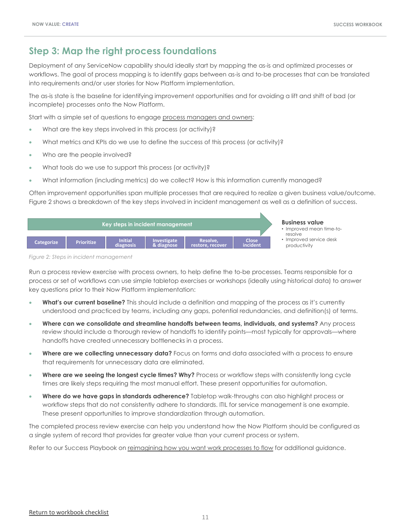### <span id="page-10-0"></span>**Step 3: Map the right process foundations**

Deployment of any ServiceNow capability should ideally start by mapping the as-is and optimized processes or workflows. The goal of process mapping is to identify gaps between as-is and to-be processes that can be translated into requirements and/or user stories for Now Platform implementation.

The as-is state is the baseline for identifying improvement opportunities and for avoiding a lift and shift of bad (or incomplete) processes onto the Now Platform.

Start with a simple set of questions to engage [process managers and owners](https://www.servicenow.com/content/dam/servicenow-assets/public/en-us/doc-type/success/quick-answer/process-owner-manager-difference.pdf):

- What are the key steps involved in this process (or activity)?
- What metrics and KPIs do we use to define the success of this process (or activity)?
- Who are the people involved?
- What tools do we use to support this process (or activity)?
- What information (including metrics) do we collect? How is this information currently managed?

Often improvement opportunities span multiple processes that are required to realize a given business value/outcome. Figure 2 shows a breakdown of the key steps involved in incident management as well as a definition of success.



*Figure 2: Steps in incident management*

Run a process review exercise with process owners, to help define the to-be processes. Teams responsible for a process or set of workflows can use simple tabletop exercises or workshops (ideally using historical data) to answer key questions prior to their Now Platform implementation:

- **What's our current baseline?** This should include a definition and mapping of the process as it's currently understood and practiced by teams, including any gaps, potential redundancies, and definition(s) of terms.
- **Where can we consolidate and streamline handoffs between teams, individuals, and systems?** Any process review should include a thorough review of handoffs to identify points—most typically for approvals—where handoffs have created unnecessary bottlenecks in a process.
- **Where are we collecting unnecessary data?** Focus on forms and data associated with a process to ensure that requirements for unnecessary data are eliminated.
- **Where are we seeing the longest cycle times? Why?** Process or workflow steps with consistently long cycle times are likely steps requiring the most manual effort. These present opportunities for automation.
- **Where do we have gaps in standards adherence?** Tabletop walk-throughs can also highlight process or workflow steps that do not consistently adhere to standards. ITIL for service management is one example. These present opportunities to improve standardization through automation.

The completed process review exercise can help you understand how the Now Platform should be configured as a single system of record that provides far greater value than your current process or system.

Refer to our Success Playbook on [reimagining how you want work processes to flow](https://www.servicenow.com/success/playbook/work-process-flow-guide.html) for additional guidance.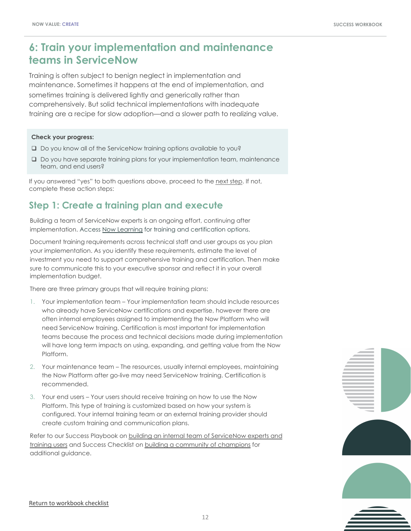### <span id="page-11-0"></span>**6: Train your implementation and maintenance teams in ServiceNow**

Training is often subject to benign neglect in implementation and maintenance. Sometimes it happens at the end of implementation, and sometimes training is delivered lightly and generically rather than comprehensively. But solid technical implementations with inadequate training are a recipe for slow adoption—and a slower path to realizing value.

#### **Check your progress:**

- $\square$  Do you know all of the ServiceNow training options available to you?
- $\Box$  Do you have separate training plans for your implementation team, maintenance team, and end users?

If you answered "yes" to both questions above, proceed to the [next step](#page-14-0). If not, complete these action steps:

### **Step 1: Create a training plan and execute**

Building a team of ServiceNow experts is an ongoing effort, continuing after implementation. Access [Now Learning](https://nowlearning.service-now.com/lxp) for training and certification options.

Document training requirements across technical staff and user groups as you plan your implementation. As you identify these requirements, estimate the level of investment you need to support comprehensive training and certification. Then make sure to communicate this to your executive sponsor and reflect it in your overall implementation budget.

There are three primary groups that will require training plans:

- 1. Your implementation team Your implementation team should include resources who already have ServiceNow certifications and expertise, however there are often internal employees assigned to implementing the Now Platform who will need ServiceNow training. Certification is most important for implementation teams because the process and technical decisions made during implementation will have long term impacts on using, expanding, and getting value from the Now Platform.
- 2. Your maintenance team The resources, usually internal employees, maintaining the Now Platform after go-live may need ServiceNow training. Certification is recommended.
- 3. Your end users Your users should receive training on how to use the Now Platform. This type of training is customized based on how your system is configured. Your internal training team or an external training provider should create custom training and communication plans.

[Refer to our Success Playbook on building an internal team of ServiceNow experts and](https://www.servicenow.com/success/playbook/train-team-internal-experts.html)  training users and Success Checklist on [building a community of champions](https://www.servicenow.com/content/dam/servicenow-assets/public/en-us/doc-type/success/checklist/build-champions.pptx) for additional guidance.

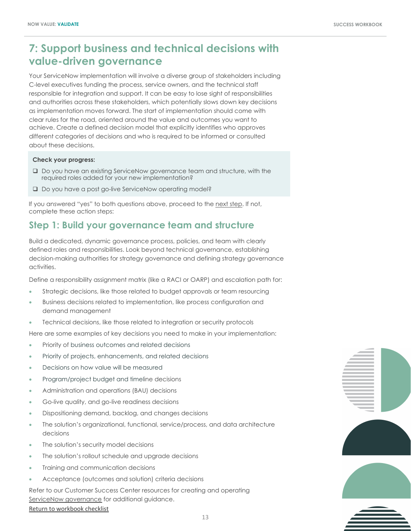### <span id="page-12-0"></span>**7: Support business and technical decisions with value-driven governance**

Your ServiceNow implementation will involve a diverse group of stakeholders including C-level executives funding the process, service owners, and the technical staff responsible for integration and support. It can be easy to lose sight of responsibilities and authorities across these stakeholders, which potentially slows down key decisions as implementation moves forward. The start of implementation should come with clear rules for the road, oriented around the value and outcomes you want to achieve. Create a defined decision model that explicitly identifies who approves different categories of decisions and who is required to be informed or consulted about these decisions.

#### **Check your progress:**

- □ Do you have an existing ServiceNow governance team and structure, with the required roles added for your new implementation?
- □ Do you have a post go-live ServiceNow operating model?

If you answered "yes" to both questions above, proceed to the [next step.](#page-8-0) If not, complete these action steps:

### **Step 1: Build your governance team and structure**

Build a dedicated, dynamic governance process, policies, and team with clearly defined roles and responsibilities. Look beyond technical governance, establishing decision-making authorities for strategy governance and defining strategy governance activities.

Define a responsibility assignment matrix (like a RACI or OARP) and escalation path for:

- Strategic decisions, like those related to budget approvals or team resourcing
- Business decisions related to implementation, like process configuration and demand management
- Technical decisions, like those related to integration or security protocols

Here are some examples of key decisions you need to make in your implementation:

- Priority of business outcomes and related decisions
- Priority of projects, enhancements, and related decisions
- Decisions on how value will be measured
- Program/project budget and timeline decisions
- Administration and operations (BAU) decisions
- Go-live quality, and go-live readiness decisions
- Dispositioning demand, backlog, and changes decisions
- The solution's organizational, functional, service/process, and data architecture decisions
- The solution's security model decisions
- The solution's rollout schedule and upgrade decisions
- Training and communication decisions
- Acceptance (outcomes and solution) criteria decisions

Refer to our Customer Success Center resources for creating and operating [ServiceNow governance](https://www.servicenow.com/success/playbook/governance-process-policies-team.html) for additional guidance.

[Return to workbook checklist](#page-2-0)

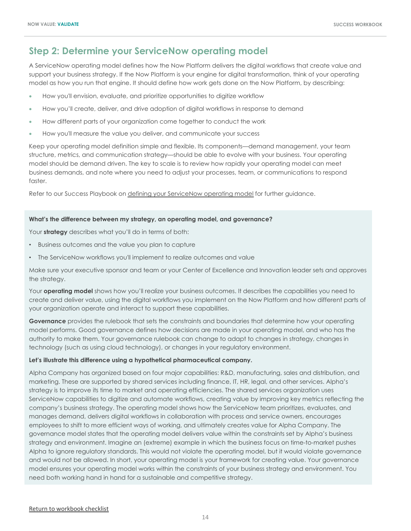### <span id="page-13-0"></span>**Step 2: Determine your ServiceNow operating model**

A ServiceNow operating model defines how the Now Platform delivers the digital workflows that create value and support your business strategy. If the Now Platform is your engine for digital transformation, think of your operating model as how you run that engine. It should define how work gets done on the Now Platform, by describing:

- How you'll envision, evaluate, and prioritize opportunities to digitize workflow
- How you'll create, deliver, and drive adoption of digital workflows in response to demand
- How different parts of your organization come together to conduct the work
- How you'll measure the value you deliver, and communicate your success

Keep your operating model definition simple and flexible. Its components—demand management, your team structure, metrics, and communication strategy—should be able to evolve with your business. Your operating model should be demand driven. The key to scale is to review how rapidly your operating model can meet business demands, and note where you need to adjust your processes, team, or communications to respond faster.

Refer to our Success Playbook on [defining your ServiceNow operating model](https://www.servicenow.com/content/dam/servicenow-assets/public/en-us/doc-type/success/insight/define-operating-model.pdf) for further guidance.

#### **What's the difference between my strategy, an operating model, and governance?**

Your **strategy** describes what you'll do in terms of both:

- Business outcomes and the value you plan to capture
- The ServiceNow workflows you'll implement to realize outcomes and value

Make sure your executive sponsor and team or your Center of Excellence and Innovation leader sets and approves the strategy.

Your **operating model** shows how you'll realize your business outcomes. It describes the capabilities you need to create and deliver value, using the digital workflows you implement on the Now Platform and how different parts of your organization operate and interact to support these capabilities.

**Governance** provides the rulebook that sets the constraints and boundaries that determine how your operating model performs. Good governance defines how decisions are made in your operating model, and who has the authority to make them. Your governance rulebook can change to adapt to changes in strategy, changes in technology (such as using cloud technology), or changes in your regulatory environment.

#### **Let's illustrate this difference using a hypothetical pharmaceutical company.**

Alpha Company has organized based on four major capabilities: R&D, manufacturing, sales and distribution, and marketing. These are supported by shared services including finance, IT, HR, legal, and other services. Alpha's strategy is to improve its time to market and operating efficiencies. The shared services organization uses ServiceNow capabilities to digitize and automate workflows, creating value by improving key metrics reflecting the company's business strategy. The operating model shows how the ServiceNow team prioritizes, evaluates, and manages demand, delivers digital workflows in collaboration with process and service owners, encourages employees to shift to more efficient ways of working, and ultimately creates value for Alpha Company. The governance model states that the operating model delivers value within the constraints set by Alpha's business strategy and environment. Imagine an (extreme) example in which the business focus on time-to-market pushes Alpha to ignore regulatory standards. This would not violate the operating model, but it would violate governance and would not be allowed. In short, your operating model is your framework for creating value. Your governance model ensures your operating model works within the constraints of your business strategy and environment. You need both working hand in hand for a sustainable and competitive strategy.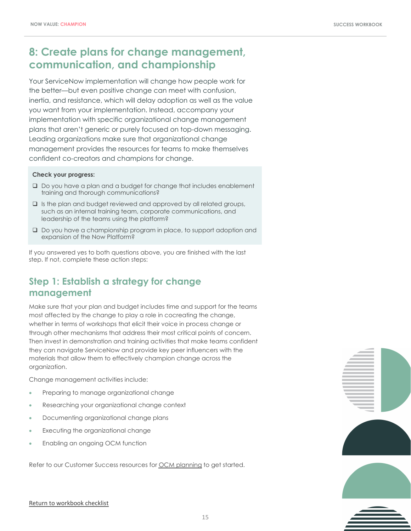### <span id="page-14-0"></span>**8: Create plans for change management, communication, and championship**

Your ServiceNow implementation will change how people work for the better—but even positive change can meet with confusion, inertia, and resistance, which will delay adoption as well as the value you want from your implementation. Instead, accompany your implementation with specific organizational change management plans that aren't generic or purely focused on top-down messaging. Leading organizations make sure that organizational change management provides the resources for teams to make themselves confident co-creators and champions for change.

#### **Check your progress:**

- $\Box$  Do you have a plan and a budget for change that includes enablement training and thorough communications?
- $\square$  Is the plan and budget reviewed and approved by all related groups, such as an internal training team, corporate communications, and leadership of the teams using the platform?
- $\Box$  Do you have a championship program in place, to support adoption and expansion of the Now Platform?

If you answered yes to both questions above, you are finished with the last step. If not, complete these action steps:

### **Step 1: Establish a strategy for change management**

Make sure that your plan and budget includes time and support for the teams most affected by the change to play a role in cocreating the change, whether in terms of workshops that elicit their voice in process change or through other mechanisms that address their most critical points of concern. Then invest in demonstration and training activities that make teams confident they can navigate ServiceNow and provide key peer influencers with the materials that allow them to effectively champion change across the organization.

Change management activities include:

- Preparing to manage organizational change
- Researching your organizational change context
- Documenting organizational change plans
- Executing the organizational change
- Enabling an ongoing OCM function

Refer to our Customer Success resources for [OCM planning](https://www.servicenow.com/success/playbook/change-management-plan-guide.html) to get started.



#### [Return to workbook checklist](#page-2-0)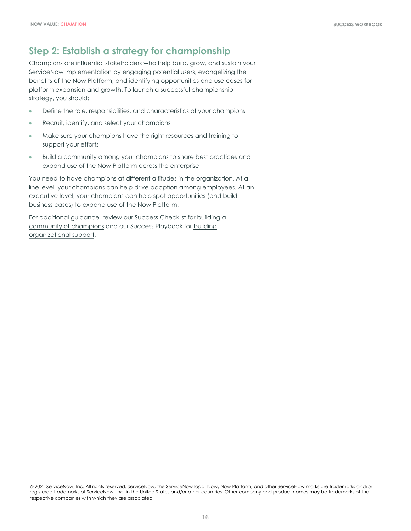### <span id="page-15-0"></span>**Step 2: Establish a strategy for championship**

Champions are influential stakeholders who help build, grow, and sustain your ServiceNow implementation by engaging potential users, evangelizing the benefits of the Now Platform, and identifying opportunities and use cases for platform expansion and growth. To launch a successful championship strategy, you should:

- Define the role, responsibilities, and characteristics of your champions
- Recruit, identify, and select your champions
- Make sure your champions have the right resources and training to support your efforts
- Build a community among your champions to share best practices and expand use of the Now Platform across the enterprise

You need to have champions at different altitudes in the organization. At a line level, your champions can help drive adoption among employees. At an executive level, your champions can help spot opportunities (and build business cases) to expand use of the Now Platform.

[For additional guidance, review our Success Checklist for building a](https://www.servicenow.com/content/dam/servicenow-assets/public/en-us/doc-type/success/checklist/build-champions.pptx)  community of champions [and our Success Playbook for building](https://www.servicenow.com/success/playbook/build-support-for-transformation.html) organizational support.

© 2021 ServiceNow, Inc. All rights reserved. ServiceNow, the ServiceNow logo, Now, Now Platform, and other ServiceNow marks are trademarks and/or registered trademarks of ServiceNow, Inc. in the United States and/or other countries. Other company and product names may be trademarks of the respective companies with which they are associated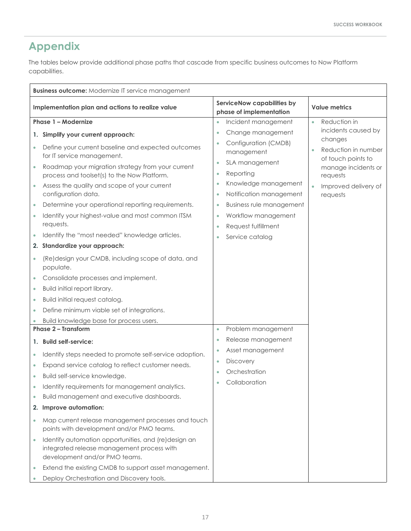## <span id="page-16-0"></span>**Appendix**

The tables below provide additional phase paths that cascade from specific business outcomes to Now Platform capabilities.

| <b>Business outcome:</b> Modernize IT service management      |                                                                                                                                                                                                                                                                                                                                                                                                                                                                                                                                                                                                                                                     |                                                                                                                                                                                                                                                                                                        |                                                                                                                             |
|---------------------------------------------------------------|-----------------------------------------------------------------------------------------------------------------------------------------------------------------------------------------------------------------------------------------------------------------------------------------------------------------------------------------------------------------------------------------------------------------------------------------------------------------------------------------------------------------------------------------------------------------------------------------------------------------------------------------------------|--------------------------------------------------------------------------------------------------------------------------------------------------------------------------------------------------------------------------------------------------------------------------------------------------------|-----------------------------------------------------------------------------------------------------------------------------|
| Implementation plan and actions to realize value              |                                                                                                                                                                                                                                                                                                                                                                                                                                                                                                                                                                                                                                                     | <b>ServiceNow capabilities by</b><br>phase of implementation                                                                                                                                                                                                                                           | <b>Value metrics</b>                                                                                                        |
| Phase 1 - Modernize                                           |                                                                                                                                                                                                                                                                                                                                                                                                                                                                                                                                                                                                                                                     | Incident management<br>$\bullet$                                                                                                                                                                                                                                                                       | Reduction in<br>$\bullet$                                                                                                   |
| 1.                                                            | Simplify your current approach:                                                                                                                                                                                                                                                                                                                                                                                                                                                                                                                                                                                                                     | Change management<br>$\bullet$                                                                                                                                                                                                                                                                         | incidents caused by                                                                                                         |
| $\bullet$<br>$\bullet$<br>$\bullet$<br>$\bullet$<br>$\bullet$ | Define your current baseline and expected outcomes<br>for IT service management.<br>Roadmap your migration strategy from your current<br>process and toolset(s) to the Now Platform.<br>Assess the quality and scope of your current<br>configuration data.<br>Determine your operational reporting requirements.<br>Identify your highest-value and most common ITSM<br>requests.<br>Identify the "most needed" knowledge articles.<br>2. Standardize your approach:<br>(Re)design your CMDB, including scope of data, and<br>populate.<br>Consolidate processes and implement.<br>Build initial report library.<br>Build initial request catalog. | Configuration (CMDB)<br>management<br>SLA management<br>$\bullet$<br>Reporting<br>$\bullet$<br>Knowledge management<br>Notification management<br>$\bullet$<br><b>Business rule management</b><br>$\bullet$<br>Workflow management<br>$\bullet$<br>Request fulfillment<br>Service catalog<br>$\bullet$ | changes<br>Reduction in number<br>of touch points to<br>manage incidents or<br>requests<br>Improved delivery of<br>requests |
|                                                               | Define minimum viable set of integrations.                                                                                                                                                                                                                                                                                                                                                                                                                                                                                                                                                                                                          |                                                                                                                                                                                                                                                                                                        |                                                                                                                             |
|                                                               | Build knowledge base for process users.<br><b>Phase 2 - Transform</b>                                                                                                                                                                                                                                                                                                                                                                                                                                                                                                                                                                               | Problem management<br>$\bullet$                                                                                                                                                                                                                                                                        |                                                                                                                             |
|                                                               | 1. Build self-service:                                                                                                                                                                                                                                                                                                                                                                                                                                                                                                                                                                                                                              | Release management<br>$\bullet$                                                                                                                                                                                                                                                                        |                                                                                                                             |
| $\bullet$<br>۰<br>$\bullet$<br>2.<br>$\bullet$<br>$\bullet$   | Identify steps needed to promote self-service adoption.<br>Expand service catalog to reflect customer needs.<br>Build self-service knowledge.<br>Identify requirements for management analytics.<br>Build management and executive dashboards.<br>Improve automation:<br>Map current release management processes and touch<br>points with development and/or PMO teams.<br>Identify automation opportunities, and (re)design an<br>integrated release management process with<br>development and/or PMO teams.<br>Extend the existing CMDB to support asset management.<br>Deploy Orchestration and Discovery tools.                               | Asset management<br>$\bullet$<br><b>Discovery</b><br>$\bullet$<br>Orchestration<br>Collaboration                                                                                                                                                                                                       |                                                                                                                             |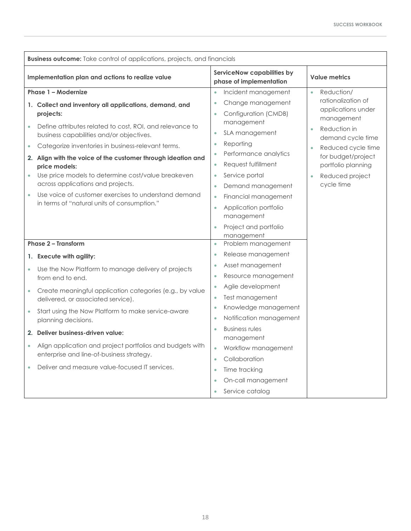| Implementation plan and actions to realize value<br>phase of implementation<br>Phase 1 - Modernize<br>$\bullet$<br>1. Collect and inventory all applications, demand, and<br>projects:                                                                                                                                                                                                                                                                                                                                                                                                                                                       | <b>ServiceNow capabilities by</b><br>Incident management<br>Change management<br>Configuration (CMDB)                | <b>Value metrics</b><br>Reduction/<br>$\bullet$<br>rationalization of<br>applications under                                                        |
|----------------------------------------------------------------------------------------------------------------------------------------------------------------------------------------------------------------------------------------------------------------------------------------------------------------------------------------------------------------------------------------------------------------------------------------------------------------------------------------------------------------------------------------------------------------------------------------------------------------------------------------------|----------------------------------------------------------------------------------------------------------------------|----------------------------------------------------------------------------------------------------------------------------------------------------|
|                                                                                                                                                                                                                                                                                                                                                                                                                                                                                                                                                                                                                                              |                                                                                                                      |                                                                                                                                                    |
|                                                                                                                                                                                                                                                                                                                                                                                                                                                                                                                                                                                                                                              |                                                                                                                      |                                                                                                                                                    |
| management<br>Define attributes related to cost, ROI, and relevance to<br>SLA management<br>$\bullet$<br>business capabilities and/or objectives.<br>Reporting<br>$\bullet$<br>Categorize inventories in business-relevant terms.<br>$\bullet$<br>2. Align with the voice of the customer through ideation and<br>Request fulfillment<br>price models:<br>Use price models to determine cost/value breakeven<br>Service portal<br>$\bullet$<br>$\bullet$<br>across applications and projects.<br>Use voice of customer exercises to understand demand<br>$\bullet$<br>in terms of "natural units of consumption."<br>$\bullet$<br>management | Performance analytics<br>Demand management<br>Financial management<br>Application portfolio<br>Project and portfolio | management<br>Reduction in<br>demand cycle time<br>Reduced cycle time<br>for budget/project<br>portfolio planning<br>Reduced project<br>cycle time |
| management<br>Phase 2 - Transform<br>$\bullet$                                                                                                                                                                                                                                                                                                                                                                                                                                                                                                                                                                                               | Problem management                                                                                                   |                                                                                                                                                    |
| $\bullet$<br>1. Execute with agility:                                                                                                                                                                                                                                                                                                                                                                                                                                                                                                                                                                                                        | Release management                                                                                                   |                                                                                                                                                    |
| $\bullet$<br>Use the Now Platform to manage delivery of projects<br>$\bullet$<br>$\bullet$<br>from end to end.                                                                                                                                                                                                                                                                                                                                                                                                                                                                                                                               | Asset management<br>Resource management                                                                              |                                                                                                                                                    |
| Create meaningful application categories (e.g., by value<br>$\bullet$<br>ó<br>delivered, or associated service).                                                                                                                                                                                                                                                                                                                                                                                                                                                                                                                             | Agile development<br>Test management                                                                                 |                                                                                                                                                    |
| $\bullet$<br>Start using the Now Platform to make service-aware<br>$\bullet$<br>planning decisions.                                                                                                                                                                                                                                                                                                                                                                                                                                                                                                                                          | Knowledge management<br>Notification management                                                                      |                                                                                                                                                    |
| <b>Business rules</b><br>2. Deliver business-driven value:<br>management                                                                                                                                                                                                                                                                                                                                                                                                                                                                                                                                                                     |                                                                                                                      |                                                                                                                                                    |
| Align application and project portfolios and budgets with<br>$\bullet$<br>$\bullet$<br>enterprise and line-of-business strategy.<br>Collaboration<br>$\bullet$                                                                                                                                                                                                                                                                                                                                                                                                                                                                               | Workflow management                                                                                                  |                                                                                                                                                    |
| Deliver and measure value-focused IT services.<br>Time tracking<br>$\bullet$<br>Service catalog<br>$\bullet$                                                                                                                                                                                                                                                                                                                                                                                                                                                                                                                                 | On-call management                                                                                                   |                                                                                                                                                    |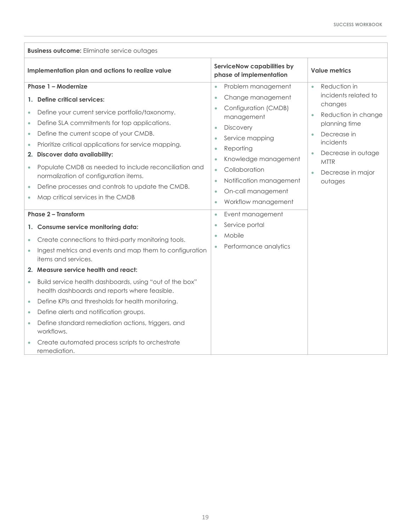| <b>Business outcome:</b> Eliminate service outages                                                                                                                                                                                                                                                                                                                                                                                                                                                                                                                                             |                                                                                                                                                                                                                                                                                                                                                                                                   |                                                                                                                                                                                                       |  |
|------------------------------------------------------------------------------------------------------------------------------------------------------------------------------------------------------------------------------------------------------------------------------------------------------------------------------------------------------------------------------------------------------------------------------------------------------------------------------------------------------------------------------------------------------------------------------------------------|---------------------------------------------------------------------------------------------------------------------------------------------------------------------------------------------------------------------------------------------------------------------------------------------------------------------------------------------------------------------------------------------------|-------------------------------------------------------------------------------------------------------------------------------------------------------------------------------------------------------|--|
| Implementation plan and actions to realize value                                                                                                                                                                                                                                                                                                                                                                                                                                                                                                                                               | ServiceNow capabilities by<br>phase of implementation                                                                                                                                                                                                                                                                                                                                             | <b>Value metrics</b>                                                                                                                                                                                  |  |
| Phase 1 - Modernize<br>Define critical services:<br>$\mathbf{1}$ .<br>Define your current service portfolio/taxonomy.<br>$\bullet$<br>Define SLA commitments for top applications.<br>$\bullet$<br>Define the current scope of your CMDB.<br>$\bullet$<br>Prioritize critical applications for service mapping.<br>$\bullet$<br><b>Discover data availability:</b><br>2.<br>Populate CMDB as needed to include reconciliation and<br>$\bullet$<br>normalization of configuration items.<br>Define processes and controls to update the CMDB.<br>$\bullet$<br>Map critical services in the CMDB | Problem management<br>$\bullet$<br>Change management<br>$\bullet$<br>Configuration (CMDB)<br>$\bullet$<br>management<br><b>Discovery</b><br>$\bullet$<br>Service mapping<br>$\bullet$<br>Reporting<br>$\bullet$<br>Knowledge management<br>$\bullet$<br>Collaboration<br>$\bullet$<br>Notification management<br>$\bullet$<br>On-call management<br>$\bullet$<br>Workflow management<br>$\bullet$ | Reduction in<br>$\bullet$<br>incidents related to<br>changes<br>Reduction in change<br>planning time<br>Decrease in<br>incidents<br>Decrease in outage<br><b>MTTR</b><br>Decrease in major<br>outages |  |
| <b>Phase 2 - Transform</b><br>Consume service monitoring data:<br>1.<br>Create connections to third-party monitoring tools.<br>٠<br>Ingest metrics and events and map them to configuration<br>$\bullet$<br>items and services.                                                                                                                                                                                                                                                                                                                                                                | Event management<br>$\bullet$<br>Service portal<br>$\bullet$<br>Mobile<br>$\bullet$<br>Performance analytics                                                                                                                                                                                                                                                                                      |                                                                                                                                                                                                       |  |
| 2. Measure service health and react:<br>Build service health dashboards, using "out of the box"<br>$\bullet$<br>health dashboards and reports where feasible.<br>Define KPIs and thresholds for health monitoring.<br>$\bullet$<br>Define alerts and notification groups.<br>$\bullet$<br>Define standard remediation actions, triggers, and<br>$\bullet$<br>workflows.<br>Create automated process scripts to orchestrate<br>remediation.                                                                                                                                                     |                                                                                                                                                                                                                                                                                                                                                                                                   |                                                                                                                                                                                                       |  |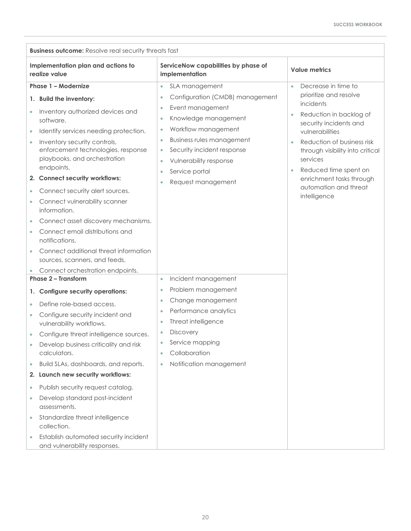| <b>Business outcome:</b> Resolve real security threats fast                                                                                                                                                                                                                                                                                                                                                                                                                                                                                                                                                                         |                                                                                                                                                                                                                                                                                                                                                                               |                                                                                                                                                                                                                                                                                                                                          |  |
|-------------------------------------------------------------------------------------------------------------------------------------------------------------------------------------------------------------------------------------------------------------------------------------------------------------------------------------------------------------------------------------------------------------------------------------------------------------------------------------------------------------------------------------------------------------------------------------------------------------------------------------|-------------------------------------------------------------------------------------------------------------------------------------------------------------------------------------------------------------------------------------------------------------------------------------------------------------------------------------------------------------------------------|------------------------------------------------------------------------------------------------------------------------------------------------------------------------------------------------------------------------------------------------------------------------------------------------------------------------------------------|--|
| Implementation plan and actions to<br>realize value                                                                                                                                                                                                                                                                                                                                                                                                                                                                                                                                                                                 | ServiceNow capabilities by phase of<br>implementation                                                                                                                                                                                                                                                                                                                         | <b>Value metrics</b>                                                                                                                                                                                                                                                                                                                     |  |
| Phase 1 - Modernize<br><b>Build the inventory:</b><br>1.<br>Inventory authorized devices and<br>$\bullet$<br>software.<br>Identify services needing protection.<br>$\bullet$<br>Inventory security controls,<br>$\bullet$<br>enforcement technologies, response<br>playbooks, and orchestration<br>endpoints.<br>2. Connect security workflows:<br>Connect security alert sources.<br>Connect vulnerability scanner<br>$\bullet$<br>information.<br>Connect asset discovery mechanisms.<br>Connect email distributions and<br>$\bullet$<br>notifications.<br>Connect additional threat information<br>sources, scanners, and feeds. | SLA management<br>$\bullet$<br>Configuration (CMDB) management<br>$\bullet$<br>Event management<br>$\bullet$<br>Knowledge management<br>$\bullet$<br>Workflow management<br>$\bullet$<br><b>Business rules management</b><br>$\bullet$<br>Security incident response<br>$\bullet$<br>Vulnerability response<br>$\bullet$<br>Service portal<br>$\bullet$<br>Request management | Decrease in time to<br>$\bullet$<br>prioritize and resolve<br>incidents<br>Reduction in backlog of<br>$\bullet$<br>security incidents and<br>vulnerabilities<br>Reduction of business risk<br>through visibility into critical<br>services<br>Reduced time spent on<br>enrichment tasks through<br>automation and threat<br>intelligence |  |
| Connect orchestration endpoints.                                                                                                                                                                                                                                                                                                                                                                                                                                                                                                                                                                                                    |                                                                                                                                                                                                                                                                                                                                                                               |                                                                                                                                                                                                                                                                                                                                          |  |
| <b>Phase 2 - Transform</b><br><b>Configure security operations:</b><br>1.<br>Define role-based access.<br>$\bullet$<br>Configure security incident and<br>$\bullet$<br>vulnerability workflows.<br>Configure threat intelligence sources.<br>Develop business criticality and risk<br>calculators.<br>Build SLAs, dashboards, and reports.<br>$\bullet$<br>2. Launch new security workflows:<br>Publish security request catalog.<br>$\bullet$<br>Develop standard post-incident<br>$\bullet$<br>assessments.<br>Standardize threat intelligence<br>$\bullet$<br>collection.<br>Establish automated security incident<br>$\bullet$  | Incident management<br>$\bullet$<br>Problem management<br>$\bullet$<br>Change management<br>$\bullet$<br>Performance analytics<br>$\bullet$<br>Threat intelligence<br>$\bullet$<br><b>Discovery</b><br>$\bullet$<br>Service mapping<br>Collaboration<br>Notification management<br>$\bullet$                                                                                  |                                                                                                                                                                                                                                                                                                                                          |  |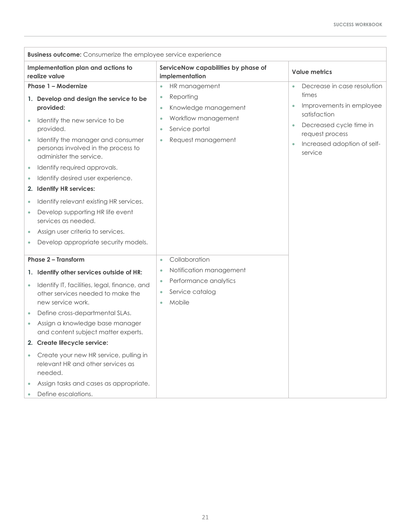| <b>Business outcome:</b> Consumerize the employee service experience                                                                                                                                                                                                                                                                                                                                                                                                                                                                            |                                                                                                                                                                                                 |                                                                                                                                                                                       |  |
|-------------------------------------------------------------------------------------------------------------------------------------------------------------------------------------------------------------------------------------------------------------------------------------------------------------------------------------------------------------------------------------------------------------------------------------------------------------------------------------------------------------------------------------------------|-------------------------------------------------------------------------------------------------------------------------------------------------------------------------------------------------|---------------------------------------------------------------------------------------------------------------------------------------------------------------------------------------|--|
| Implementation plan and actions to<br>realize value                                                                                                                                                                                                                                                                                                                                                                                                                                                                                             | ServiceNow capabilities by phase of<br>implementation                                                                                                                                           | <b>Value metrics</b>                                                                                                                                                                  |  |
| Phase 1 - Modernize<br>1. Develop and design the service to be<br>provided:<br>Identify the new service to be<br>provided.<br>Identify the manager and consumer<br>personas involved in the process to<br>administer the service.<br>Identify required approvals.<br>$\bullet$<br>Identify desired user experience.<br>2. Identify HR services:<br>Identify relevant existing HR services.<br>$\bullet$<br>Develop supporting HR life event<br>services as needed.<br>Assign user criteria to services.<br>Develop appropriate security models. | HR management<br>$\bullet$<br>Reporting<br>$\bullet$<br>Knowledge management<br>$\bullet$<br>Workflow management<br>$\bullet$<br>Service portal<br>$\bullet$<br>Request management<br>$\bullet$ | Decrease in case resolution<br>$\bullet$<br>times<br>Improvements in employee<br>satisfaction<br>Decreased cycle time in<br>request process<br>Increased adoption of self-<br>service |  |
| Phase 2 - Transform<br>1. Identify other services outside of HR:<br>Identify IT, facilities, legal, finance, and<br>$\bullet$<br>other services needed to make the<br>new service work.<br>Define cross-departmental SLAs.<br>Assign a knowledge base manager<br>and content subject matter experts.<br>2. Create lifecycle service:<br>Create your new HR service, pulling in<br>relevant HR and other services as<br>needed.<br>Assign tasks and cases as appropriate.<br>Define escalations.                                                 | Collaboration<br>$\bullet$<br>Notification management<br>$\bullet$<br>Performance analytics<br>$\bullet$<br>Service catalog<br>$\bullet$<br>Mobile<br>$\bullet$                                 |                                                                                                                                                                                       |  |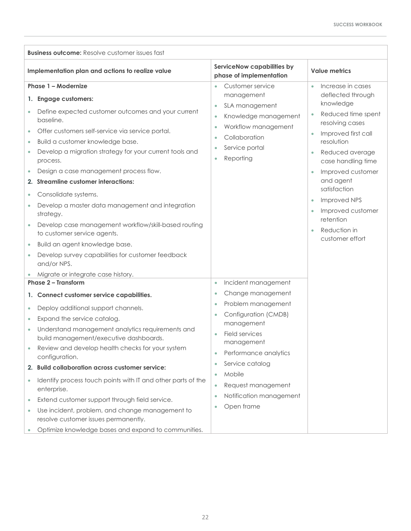| <b>Business outcome:</b> Resolve customer issues fast                                                                                                                                                                                                                                                                                                                                                                                                                                                                                                                                                                                                                    |                                                                                                                                                                                                                                  |                                                                                                                                                                                                                                                                                                     |
|--------------------------------------------------------------------------------------------------------------------------------------------------------------------------------------------------------------------------------------------------------------------------------------------------------------------------------------------------------------------------------------------------------------------------------------------------------------------------------------------------------------------------------------------------------------------------------------------------------------------------------------------------------------------------|----------------------------------------------------------------------------------------------------------------------------------------------------------------------------------------------------------------------------------|-----------------------------------------------------------------------------------------------------------------------------------------------------------------------------------------------------------------------------------------------------------------------------------------------------|
| Implementation plan and actions to realize value                                                                                                                                                                                                                                                                                                                                                                                                                                                                                                                                                                                                                         | ServiceNow capabilities by<br>phase of implementation                                                                                                                                                                            | <b>Value metrics</b>                                                                                                                                                                                                                                                                                |
| Phase 1 - Modernize                                                                                                                                                                                                                                                                                                                                                                                                                                                                                                                                                                                                                                                      | Customer service<br>٠                                                                                                                                                                                                            | Increase in cases<br>$\bullet$                                                                                                                                                                                                                                                                      |
| 1. Engage customers:<br>Define expected customer outcomes and your current<br>baseline.<br>Offer customers self-service via service portal.<br>$\bullet$<br>Build a customer knowledge base.<br>$\bullet$<br>Develop a migration strategy for your current tools and<br>process.<br>Design a case management process flow.<br>2. Streamline customer interactions:<br>Consolidate systems.<br>$\bullet$<br>Develop a master data management and integration<br>٠<br>strategy.<br>Develop case management workflow/skill-based routing<br>to customer service agents.<br>Build an agent knowledge base.<br>$\bullet$<br>Develop survey capabilities for customer feedback | management<br>SLA management<br>$\bullet$<br>Knowledge management<br>$\bullet$<br>Workflow management<br>$\bullet$<br>Collaboration<br>$\bullet$<br>Service portal<br>$\bullet$<br>Reporting<br>۰                                | deflected through<br>knowledge<br>Reduced time spent<br>resolving cases<br>Improved first call<br>resolution<br>Reduced average<br>case handling time<br>Improved customer<br>and agent<br>satisfaction<br><b>Improved NPS</b><br>Improved customer<br>retention<br>Reduction in<br>customer effort |
| and/or NPS.                                                                                                                                                                                                                                                                                                                                                                                                                                                                                                                                                                                                                                                              |                                                                                                                                                                                                                                  |                                                                                                                                                                                                                                                                                                     |
| Migrate or integrate case history.<br><b>Phase 2 - Transform</b>                                                                                                                                                                                                                                                                                                                                                                                                                                                                                                                                                                                                         |                                                                                                                                                                                                                                  |                                                                                                                                                                                                                                                                                                     |
|                                                                                                                                                                                                                                                                                                                                                                                                                                                                                                                                                                                                                                                                          | Incident management<br>$\bullet$                                                                                                                                                                                                 |                                                                                                                                                                                                                                                                                                     |
| 1. Connect customer service capabilities.                                                                                                                                                                                                                                                                                                                                                                                                                                                                                                                                                                                                                                | Change management<br>$\bullet$<br>Problem management<br>$\bullet$                                                                                                                                                                |                                                                                                                                                                                                                                                                                                     |
| Deploy additional support channels.<br>$\bullet$<br>Expand the service catalog.<br>۰<br>Understand management analytics requirements and<br>build management/executive dashboards.<br>Review and develop health checks for your system<br>configuration.<br>2. Build collaboration across customer service:<br>Identify process touch points with IT and other parts of the<br>$\bullet$<br>enterprise.<br>Extend customer support through field service.<br>۰<br>Use incident, problem, and change management to<br>۰<br>resolve customer issues permanently.                                                                                                           | Configuration (CMDB)<br>$\bullet$<br>management<br>Field services<br>management<br>Performance analytics<br>۰<br>Service catalog<br>$\bullet$<br>Mobile<br>٠<br>Request management<br>Notification management<br>٠<br>Open frame |                                                                                                                                                                                                                                                                                                     |
| Optimize knowledge bases and expand to communities.                                                                                                                                                                                                                                                                                                                                                                                                                                                                                                                                                                                                                      |                                                                                                                                                                                                                                  |                                                                                                                                                                                                                                                                                                     |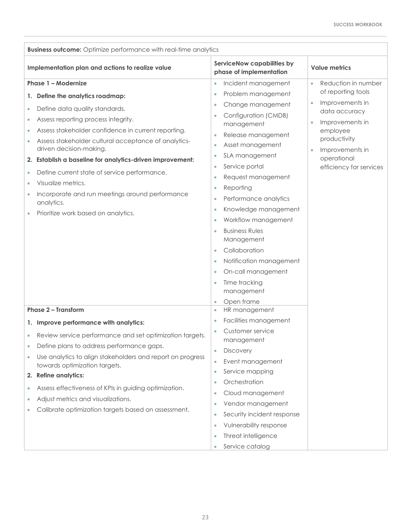| <b>Business outcome:</b> Optimize performance with real-time analytics                                                                                                                                                                                                                                                                                                                                                                                                                                                                                  |                                                                                                                                                                                                                                                                                                                                                                                                                                               |                                                                                                                                                                    |  |
|---------------------------------------------------------------------------------------------------------------------------------------------------------------------------------------------------------------------------------------------------------------------------------------------------------------------------------------------------------------------------------------------------------------------------------------------------------------------------------------------------------------------------------------------------------|-----------------------------------------------------------------------------------------------------------------------------------------------------------------------------------------------------------------------------------------------------------------------------------------------------------------------------------------------------------------------------------------------------------------------------------------------|--------------------------------------------------------------------------------------------------------------------------------------------------------------------|--|
| Implementation plan and actions to realize value                                                                                                                                                                                                                                                                                                                                                                                                                                                                                                        | ServiceNow capabilities by<br>phase of implementation                                                                                                                                                                                                                                                                                                                                                                                         | <b>Value metrics</b>                                                                                                                                               |  |
| Phase 1 - Modernize                                                                                                                                                                                                                                                                                                                                                                                                                                                                                                                                     | Incident management<br>٠                                                                                                                                                                                                                                                                                                                                                                                                                      | Reduction in number<br>$\bullet$                                                                                                                                   |  |
| Define the analytics roadmap:<br>1.<br>Define data quality standards.<br>$\bullet$<br>Assess reporting process integrity.<br>۰<br>Assess stakeholder confidence in current reporting.<br>Assess stakeholder cultural acceptance of analytics-<br>۰<br>driven decision-making.<br>2. Establish a baseline for analytics-driven improvement:<br>Define current state of service performance.<br>$\bullet$<br>Visualize metrics.<br>۰<br>Incorporate and run meetings around performance<br>$\bullet$<br>analytics.<br>Prioritize work based on analytics. | Problem management<br>$\bullet$<br>Change management<br>۰<br>Configuration (CMDB)<br>۰<br>management<br>Release management<br>Asset management<br>$\bullet$<br>SLA management<br>۰<br>Service portal<br>٠<br>Request management<br>۰<br>Reporting<br>۰<br>Performance analytics<br>Knowledge management<br>۰<br>Workflow management<br>۰<br><b>Business Rules</b><br>Management<br>Collaboration<br>٠<br>Notification management<br>$\bullet$ | of reporting tools<br>Improvements in<br>data accuracy<br>Improvements in<br>employee<br>productivity<br>Improvements in<br>operational<br>efficiency for services |  |
| <b>Phase 2 - Transform</b><br>1. Improve performance with analytics:                                                                                                                                                                                                                                                                                                                                                                                                                                                                                    | On-call management<br>۰<br>Time tracking<br>$\bullet$<br>management<br>Open frame<br>$\bullet$<br>HR management<br>$\bullet$<br>Facilities management                                                                                                                                                                                                                                                                                         |                                                                                                                                                                    |  |
| Review service performance and set optimization targets.                                                                                                                                                                                                                                                                                                                                                                                                                                                                                                | Customer service                                                                                                                                                                                                                                                                                                                                                                                                                              |                                                                                                                                                                    |  |
| Define plans to address performance gaps.                                                                                                                                                                                                                                                                                                                                                                                                                                                                                                               | management                                                                                                                                                                                                                                                                                                                                                                                                                                    |                                                                                                                                                                    |  |
| Use analytics to align stakeholders and report on progress<br>towards optimization targets.<br>2. Refine analytics:<br>Assess effectiveness of KPIs in guiding optimization.<br>$\bullet$<br>Adjust metrics and visualizations.<br>۰<br>Calibrate optimization targets based on assessment.                                                                                                                                                                                                                                                             | <b>Discovery</b><br>$\bullet$<br>Event management<br>$\bullet$<br>Service mapping<br>$\bullet$                                                                                                                                                                                                                                                                                                                                                |                                                                                                                                                                    |  |
|                                                                                                                                                                                                                                                                                                                                                                                                                                                                                                                                                         | Orchestration<br>۰<br>Cloud management<br>۰<br>Vendor management<br>۰<br>Security incident response<br>۰<br>Vulnerability response<br>۰<br>Threat intelligence<br>$\bullet$<br>Service catalog<br>$\bullet$                                                                                                                                                                                                                                   |                                                                                                                                                                    |  |